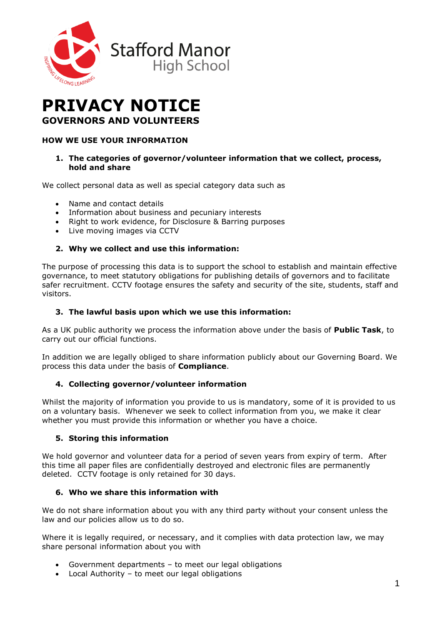

# **PRIVACY NOTICE GOVERNORS AND VOLUNTEERS**

# **HOW WE USE YOUR INFORMATION**

#### **1. The categories of governor/volunteer information that we collect, process, hold and share**

We collect personal data as well as special category data such as

- Name and contact details
- Information about business and pecuniary interests
- Right to work evidence, for Disclosure & Barring purposes
- Live moving images via CCTV

## **2. Why we collect and use this information:**

The purpose of processing this data is to support the school to establish and maintain effective governance, to meet statutory obligations for publishing details of governors and to facilitate safer recruitment. CCTV footage ensures the safety and security of the site, students, staff and visitors.

#### **3. The lawful basis upon which we use this information:**

As a UK public authority we process the information above under the basis of **Public Task**, to carry out our official functions.

In addition we are legally obliged to share information publicly about our Governing Board. We process this data under the basis of **Compliance**.

## **4. Collecting governor/volunteer information**

Whilst the majority of information you provide to us is mandatory, some of it is provided to us on a voluntary basis. Whenever we seek to collect information from you, we make it clear whether you must provide this information or whether you have a choice.

#### **5. Storing this information**

We hold governor and volunteer data for a period of seven years from expiry of term. After this time all paper files are confidentially destroyed and electronic files are permanently deleted. CCTV footage is only retained for 30 days.

#### **6. Who we share this information with**

We do not share information about you with any third party without your consent unless the law and our policies allow us to do so.

Where it is legally required, or necessary, and it complies with data protection law, we may share personal information about you with

- Government departments to meet our legal obligations
- Local Authority to meet our legal obligations